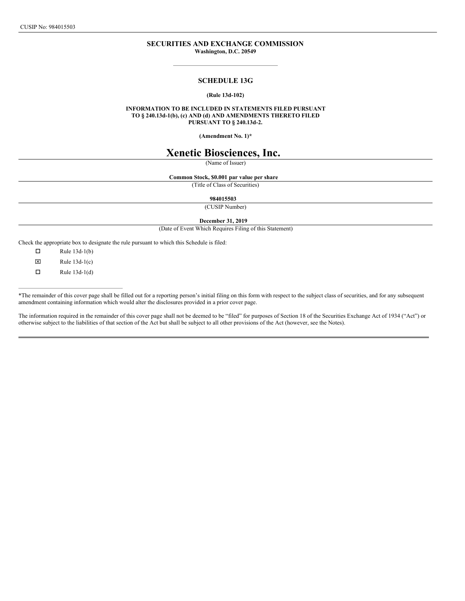CUSIP No: 984015503

## **SECURITIES AND EXCHANGE COMMISSION Washington, D.C. 20549**

# **SCHEDULE 13G**

# **(Rule 13d-102)**

**INFORMATION TO BE INCLUDED IN STATEMENTS FILED PURSUANT TO § 240.13d-1(b), (c) AND (d) AND AMENDMENTS THERETO FILED PURSUANT TO § 240.13d-2.**

**(Amendment No. 1)\***

# **Xenetic Biosciences, Inc.**

(Name of Issuer)

**Common Stock, \$0.001 par value per share**

(Title of Class of Securities)

#### **984015503**

(CUSIP Number)

**December 31, 2019**

(Date of Event Which Requires Filing of this Statement)

Check the appropriate box to designate the rule pursuant to which this Schedule is filed:

 $\Box$  Rule 13d-1(b)  $\boxtimes$  Rule 13d-1(c)

 $\Box$  Rule 13d-1(d)

\*The remainder of this cover page shall be filled out for a reporting person's initial filing on this form with respect to the subject class of securities, and for any subsequent amendment containing information which would alter the disclosures provided in a prior cover page.

The information required in the remainder of this cover page shall not be deemed to be "filed" for purposes of Section 18 of the Securities Exchange Act of 1934 ("Act") or otherwise subject to the liabilities of that section of the Act but shall be subject to all other provisions of the Act (however, see the Notes).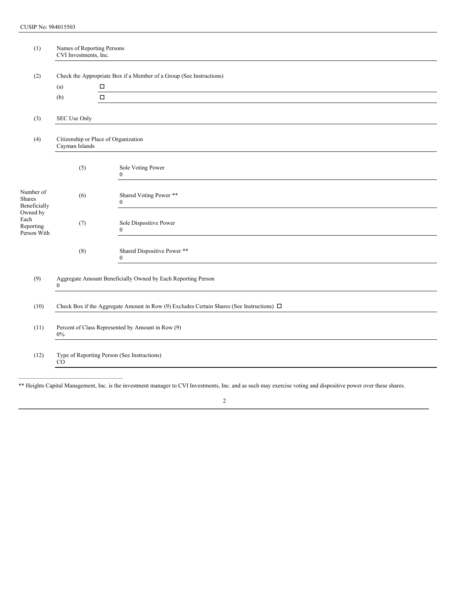| (1)                                          | Names of Reporting Persons<br>CVI Investments, Inc.                          |                                                                                                |  |  |
|----------------------------------------------|------------------------------------------------------------------------------|------------------------------------------------------------------------------------------------|--|--|
| (2)                                          | Check the Appropriate Box if a Member of a Group (See Instructions)          |                                                                                                |  |  |
|                                              | (a)                                                                          | П                                                                                              |  |  |
|                                              | (b)                                                                          | $\Box$                                                                                         |  |  |
| (3)                                          | SEC Use Only                                                                 |                                                                                                |  |  |
| (4)                                          | Citizenship or Place of Organization<br>Cayman Islands                       |                                                                                                |  |  |
|                                              | (5)                                                                          | Sole Voting Power<br>$\mathbf{0}$                                                              |  |  |
| Number of<br><b>Shares</b><br>Beneficially   | (6)                                                                          | Shared Voting Power **<br>$\mathbf{0}$                                                         |  |  |
| Owned by<br>Each<br>Reporting<br>Person With | (7)                                                                          | Sole Dispositive Power<br>$\theta$                                                             |  |  |
|                                              | (8)                                                                          | Shared Dispositive Power **<br>$\bf{0}$                                                        |  |  |
| (9)                                          | Aggregate Amount Beneficially Owned by Each Reporting Person<br>$\mathbf{0}$ |                                                                                                |  |  |
| (10)                                         |                                                                              | Check Box if the Aggregate Amount in Row (9) Excludes Certain Shares (See Instructions) $\Box$ |  |  |
| (11)                                         | Percent of Class Represented by Amount in Row (9)<br>$0\%$                   |                                                                                                |  |  |
| (12)                                         | Type of Reporting Person (See Instructions)<br>CO                            |                                                                                                |  |  |

\*\* Heights Capital Management, Inc. is the investment manager to CVI Investments, Inc. and as such may exercise voting and dispositive power over these shares.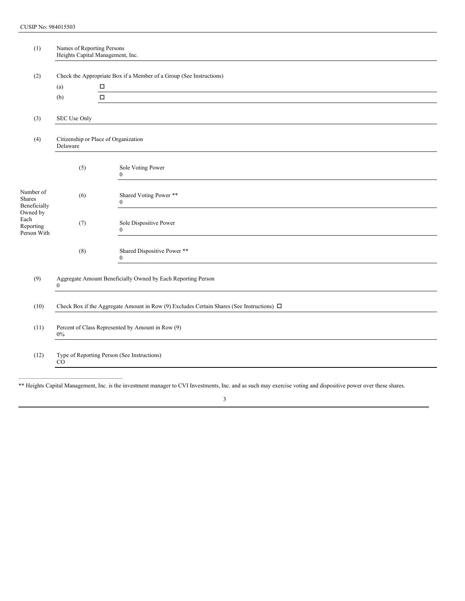| (1)                                          | Names of Reporting Persons<br>Heights Capital Management, Inc.                                 |                                             |  |  |
|----------------------------------------------|------------------------------------------------------------------------------------------------|---------------------------------------------|--|--|
| (2)                                          | Check the Appropriate Box if a Member of a Group (See Instructions)<br>$\Box$<br>(a)           |                                             |  |  |
|                                              | (b)                                                                                            | $\Box$                                      |  |  |
| (3)                                          | SEC Use Only                                                                                   |                                             |  |  |
| (4)                                          | Citizenship or Place of Organization<br>Delaware                                               |                                             |  |  |
|                                              | (5)                                                                                            | Sole Voting Power<br>$\bf{0}$               |  |  |
| Number of<br><b>Shares</b><br>Beneficially   | (6)                                                                                            | Shared Voting Power **<br>$\mathbf{0}$      |  |  |
| Owned by<br>Each<br>Reporting<br>Person With | (7)                                                                                            | Sole Dispositive Power<br>$\mathbf{0}$      |  |  |
|                                              | (8)                                                                                            | Shared Dispositive Power **<br>$\mathbf{0}$ |  |  |
| (9)                                          | Aggregate Amount Beneficially Owned by Each Reporting Person<br>$\mathbf{0}$                   |                                             |  |  |
| (10)                                         | Check Box if the Aggregate Amount in Row (9) Excludes Certain Shares (See Instructions) $\Box$ |                                             |  |  |
| (11)                                         | Percent of Class Represented by Amount in Row (9)<br>$0\%$                                     |                                             |  |  |
| (12)                                         | Type of Reporting Person (See Instructions)<br>CO                                              |                                             |  |  |
|                                              |                                                                                                |                                             |  |  |

\*\* Heights Capital Management, Inc. is the investment manager to CVI Investments, Inc. and as such may exercise voting and dispositive power over these shares.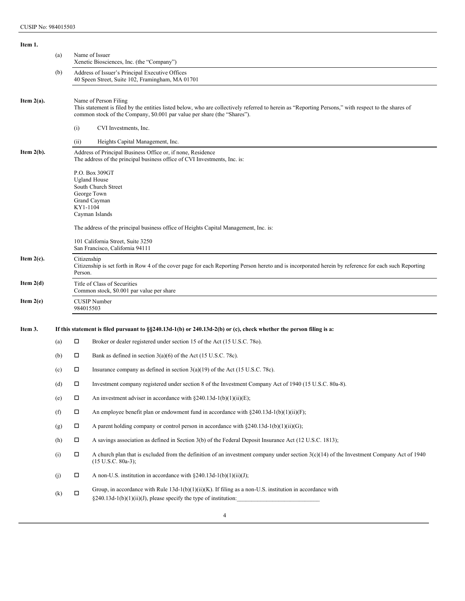| Item 1.                                |     |                                                                                                                                                                                |                                                                                                                                                                               |  |  |  |  |
|----------------------------------------|-----|--------------------------------------------------------------------------------------------------------------------------------------------------------------------------------|-------------------------------------------------------------------------------------------------------------------------------------------------------------------------------|--|--|--|--|
|                                        | (a) | Name of Issuer<br>Xenetic Biosciences, Inc. (the "Company")                                                                                                                    |                                                                                                                                                                               |  |  |  |  |
|                                        | (b) | Address of Issuer's Principal Executive Offices<br>40 Speen Street, Suite 102, Framingham, MA 01701                                                                            |                                                                                                                                                                               |  |  |  |  |
| Item $2(a)$ .<br>Name of Person Filing |     |                                                                                                                                                                                | This statement is filed by the entities listed below, who are collectively referred to herein as "Reporting Persons," with respect to the shares of                           |  |  |  |  |
|                                        |     | common stock of the Company, \$0.001 par value per share (the "Shares").                                                                                                       |                                                                                                                                                                               |  |  |  |  |
|                                        |     | (i)                                                                                                                                                                            | CVI Investments, Inc.                                                                                                                                                         |  |  |  |  |
|                                        |     | (ii)                                                                                                                                                                           | Heights Capital Management, Inc.                                                                                                                                              |  |  |  |  |
| Item $2(b)$ .                          |     | Address of Principal Business Office or, if none, Residence<br>The address of the principal business office of CVI Investments, Inc. is:                                       |                                                                                                                                                                               |  |  |  |  |
|                                        |     |                                                                                                                                                                                | P.O. Box 309GT<br><b>Ugland House</b>                                                                                                                                         |  |  |  |  |
|                                        |     |                                                                                                                                                                                | South Church Street<br>George Town                                                                                                                                            |  |  |  |  |
|                                        |     |                                                                                                                                                                                | Grand Cayman                                                                                                                                                                  |  |  |  |  |
|                                        |     | KY1-1104                                                                                                                                                                       | Cayman Islands                                                                                                                                                                |  |  |  |  |
|                                        |     | The address of the principal business office of Heights Capital Management, Inc. is:                                                                                           |                                                                                                                                                                               |  |  |  |  |
|                                        |     |                                                                                                                                                                                | 101 California Street, Suite 3250<br>San Francisco, California 94111                                                                                                          |  |  |  |  |
| Item $2(c)$ .                          |     | Citizenship<br>Citizenship is set forth in Row 4 of the cover page for each Reporting Person hereto and is incorporated herein by reference for each such Reporting<br>Person. |                                                                                                                                                                               |  |  |  |  |
| Item $2(d)$                            |     | Title of Class of Securities<br>Common stock, \$0.001 par value per share                                                                                                      |                                                                                                                                                                               |  |  |  |  |
| Item $2(e)$                            |     | <b>CUSIP</b> Number<br>984015503                                                                                                                                               |                                                                                                                                                                               |  |  |  |  |
| Item 3.                                |     |                                                                                                                                                                                | If this statement is filed pursuant to $\S$ \$240.13d-1(b) or 240.13d-2(b) or (c), check whether the person filing is a:                                                      |  |  |  |  |
|                                        | (a) | Д                                                                                                                                                                              | Broker or dealer registered under section 15 of the Act (15 U.S.C. 780).                                                                                                      |  |  |  |  |
|                                        | (b) | □                                                                                                                                                                              | Bank as defined in section $3(a)(6)$ of the Act (15 U.S.C. 78c).                                                                                                              |  |  |  |  |
|                                        | (c) | Д                                                                                                                                                                              | Insurance company as defined in section $3(a)(19)$ of the Act (15 U.S.C. 78c).                                                                                                |  |  |  |  |
|                                        | (d) | П                                                                                                                                                                              | Investment company registered under section 8 of the Investment Company Act of 1940 (15 U.S.C. 80a-8).                                                                        |  |  |  |  |
|                                        | (e) | П                                                                                                                                                                              | An investment adviser in accordance with $\S 240.13d-1(b)(1)(ii)(E)$ ;                                                                                                        |  |  |  |  |
|                                        | (f) | П                                                                                                                                                                              | An employee benefit plan or endowment fund in accordance with $\S 240.13d-1(b)(1)(ii)(F)$ ;                                                                                   |  |  |  |  |
|                                        | (g) | Ц                                                                                                                                                                              | A parent holding company or control person in accordance with $\S240.13d-1(b)(1)(ii)(G)$ ;                                                                                    |  |  |  |  |
|                                        | (h) | Ц                                                                                                                                                                              | A savings association as defined in Section 3(b) of the Federal Deposit Insurance Act (12 U.S.C. 1813);                                                                       |  |  |  |  |
|                                        | (i) | Ц                                                                                                                                                                              | A church plan that is excluded from the definition of an investment company under section $3(c)(14)$ of the Investment Company Act of 1940<br>$(15 \text{ U.S.C. } 80a-3);$   |  |  |  |  |
|                                        | (i) | Ц                                                                                                                                                                              | A non-U.S. institution in accordance with $\S 240.13d-1(b)(1)(ii)(J)$ ;                                                                                                       |  |  |  |  |
|                                        | (k) | П                                                                                                                                                                              | Group, in accordance with Rule 13d-1(b)(1)(ii)(K). If filing as a non-U.S. institution in accordance with<br>§240.13d-1(b)(1)(ii)(J), please specify the type of institution: |  |  |  |  |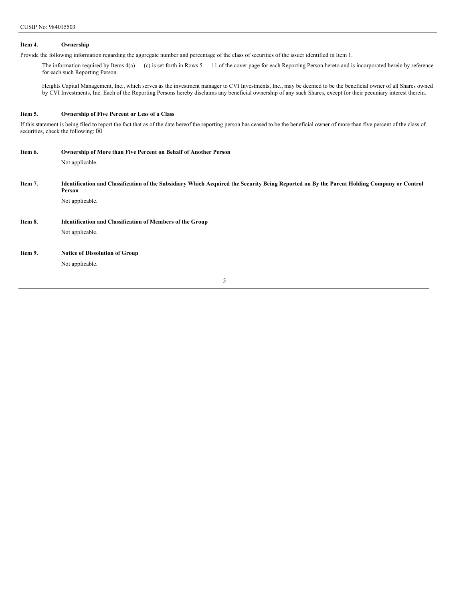# **Item 4. Ownership**

Provide the following information regarding the aggregate number and percentage of the class of securities of the issuer identified in Item 1.

The information required by Items  $4(a)$  — (c) is set forth in Rows  $5 - 11$  of the cover page for each Reporting Person hereto and is incorporated herein by reference for each such Reporting Person.

Heights Capital Management, Inc., which serves as the investment manager to CVI Investments, Inc., may be deemed to be the beneficial owner of all Shares owned by CVI Investments, Inc. Each of the Reporting Persons hereby disclaims any beneficial ownership of any such Shares, except for their pecuniary interest therein.

### **Item 5. Ownership of Five Percent or Less of a Class**

If this statement is being filed to report the fact that as of the date hereof the reporting person has ceased to be the beneficial owner of more than five percent of the class of securities, check the following:  $\boxtimes$ 

| Item 6. | <b>Ownership of More than Five Percent on Behalf of Another Person</b>                                                                               |
|---------|------------------------------------------------------------------------------------------------------------------------------------------------------|
|         | Not applicable.                                                                                                                                      |
|         |                                                                                                                                                      |
| Item 7. | Identification and Classification of the Subsidiary Which Acquired the Security Being Reported on By the Parent Holding Company or Control<br>Person |
|         | Not applicable.                                                                                                                                      |
|         |                                                                                                                                                      |
| Item 8. | <b>Identification and Classification of Members of the Group</b>                                                                                     |
|         | Not applicable.                                                                                                                                      |
|         |                                                                                                                                                      |
| Item 9. | <b>Notice of Dissolution of Group</b>                                                                                                                |
|         | Not applicable.                                                                                                                                      |
|         |                                                                                                                                                      |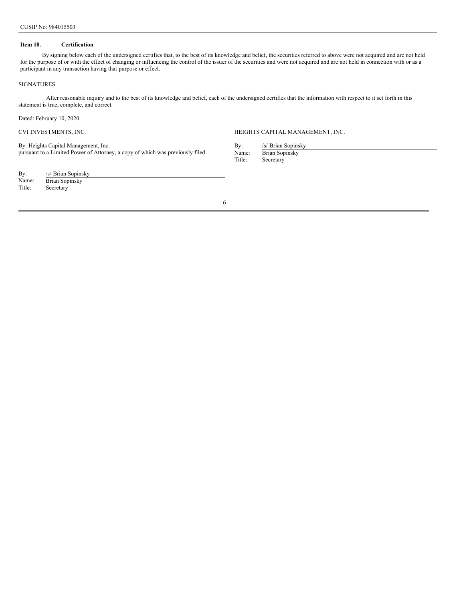## **Item 10. Certification**

By signing below each of the undersigned certifies that, to the best of its knowledge and belief, the securities referred to above were not acquired and are not held for the purpose of or with the effect of changing or influencing the control of the issuer of the securities and were not acquired and are not held in connection with or as a participant in any transaction having that purpose or effect.

## SIGNATURES

After reasonable inquiry and to the best of its knowledge and belief, each of the undersigned certifies that the information with respect to it set forth in this statement is true, complete, and correct.

Dated: February 10, 2020

By: Heights Capital Management, Inc. pursuant to a Limited Power of Attorney, a copy of which was previously filed

| By:    | /s/ Brian Sopinsky |
|--------|--------------------|
| Name:  | Brian Sopinsky     |
| Title: | Secretary          |

CVI INVESTMENTS, INC. HEIGHTS CAPITAL MANAGEMENT, INC.

By: /s/ Brian Sopinsky<br>Name: Brian Sopinsky Name: Brian Sopinsky<br>Title: Secretary Secretary